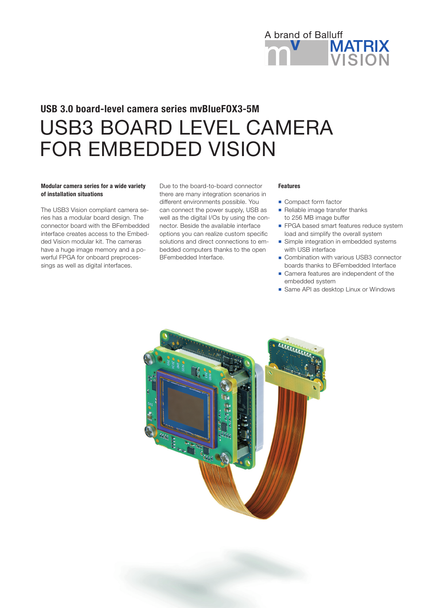

# USB3 BOARD LEVEL CAMERA FOR EMBEDDED VISION USB 3.0 board-level camera series mvBlueFOX3-5M

## Modular camera series for a wide variety of installation situations

The USB3 Vision compliant camera series has a modular board design. The connector board with the BFembedded interface creates access to the Embedded Vision modular kit. The cameras have a huge image memory and a powerful FPGA for onboard preprocessings as well as digital interfaces.

Due to the board-to-board connector there are many integration scenarios in different environments possible. You can connect the power supply, USB as well as the digital I/Os by using the connector. Beside the available interface options you can realize custom specific solutions and direct connections to embedded computers thanks to the open BFembedded Interface.

#### Features

- Compact form factor
- Reliable image transfer thanks to 256 MB image buffer
- **FPGA based smart features reduce system** load and simplify the overall system
- **n** Simple integration in embedded systems with USB interface
- Combination with various USB3 connector boards thanks to BFembedded Interface
- Camera features are independent of the embedded system
- Same API as desktop Linux or Windows